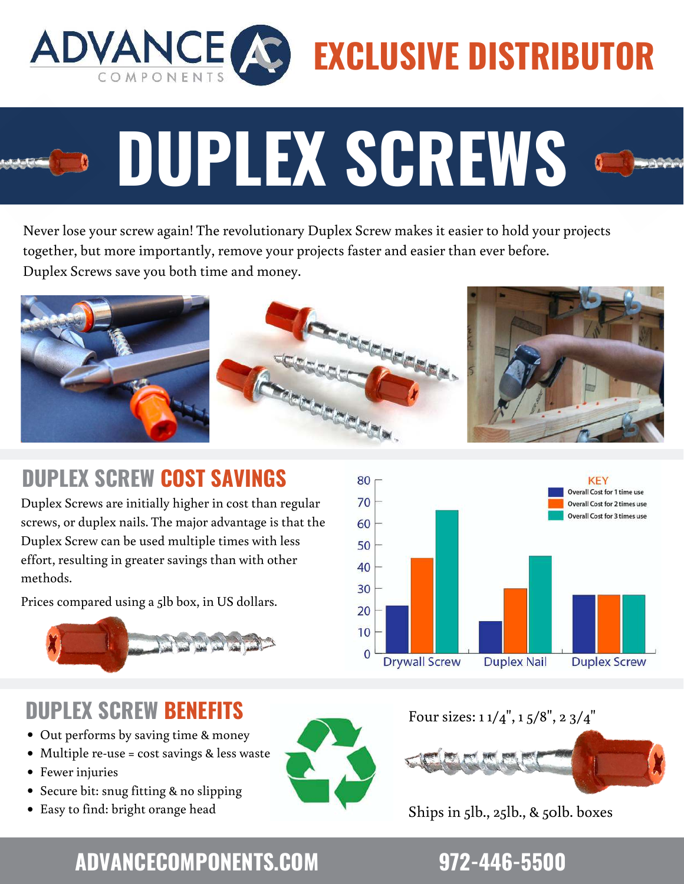

# **EXCLUSIVE DISTRIBUTOR**

Never lose your screw again! The revolutionary Duplex Screw makes it easier to hold your projects together, but more importantly, remove your projects faster and easier than ever before. Duplex Screws save you both time and money.

**DUPLEX SCREWS**



### **DUPLEX SCREW COST SAVINGS**

Duplex Screws are initially higher in cost than regular screws, or duplex nails. The major advantage is that the Duplex Screw can be used multiple times with less effort, resulting in greater savings than with other methods.

Prices compared using a 5lb box, in US dollars.



### **DUPLEX SCREW BENEFITS**

- Out performs by saving time & money
- Multiple re-use = cost savings & less waste
- Fewer injuries
- Secure bit: snug fitting & no slipping
- Easy to find: bright orange head



### Four sizes: 1 1/4", 1 5/8", 2 3/4"



Ships in 5lb., 25lb., & 50lb. boxes

## **ADVANCECOMPONENTS.COM 972-446-5500**